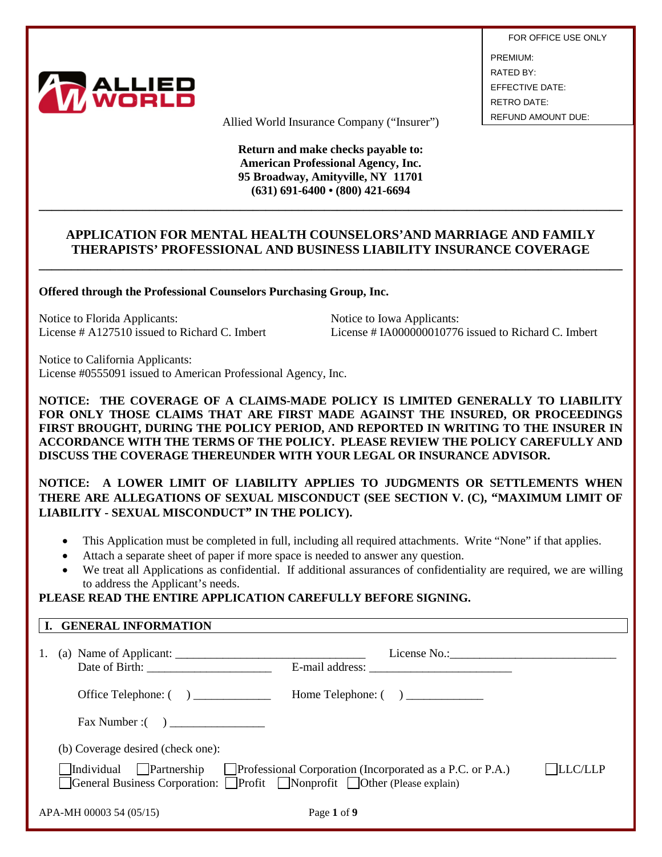

FOR OFFICE USE ONLY PREMIUM: RATED BY: EFFECTIVE DATE: RETRO DATE:

Allied World Insurance Company ("Insurer") REFUND AMOUNT DUE:

**Return and make checks payable to: American Professional Agency, Inc. 95 Broadway, Amityville, NY 11701 (631) 691-6400 • (800) 421-6694**

## **APPLICATION FOR MENTAL HEALTH COUNSELORS'AND MARRIAGE AND FAMILY THERAPISTS' PROFESSIONAL AND BUSINESS LIABILITY INSURANCE COVERAGE**

**\_\_\_\_\_\_\_\_\_\_\_\_\_\_\_\_\_\_\_\_\_\_\_\_\_\_\_\_\_\_\_\_\_\_\_\_\_\_\_\_\_\_\_\_\_\_\_\_\_\_\_\_\_\_\_\_\_\_\_\_\_\_\_\_\_\_\_\_\_\_\_\_\_\_\_\_\_\_\_\_\_\_\_\_\_\_\_\_\_\_**

**\_\_\_\_\_\_\_\_\_\_\_\_\_\_\_\_\_\_\_\_\_\_\_\_\_\_\_\_\_\_\_\_\_\_\_\_\_\_\_\_\_\_\_\_\_\_\_\_\_\_\_\_\_\_\_\_\_\_\_\_\_\_\_\_\_\_\_\_\_\_\_\_\_\_\_\_\_\_\_\_\_\_\_\_\_\_\_\_\_\_**

**Offered through the Professional Counselors Purchasing Group, Inc.**

Notice to Florida Applicants:<br>
License # A127510 issued to Richard C. Imbert<br>
License # IA000000010776

License  $\#$  IA000000010776 issued to Richard C. Imbert

Notice to California Applicants: License #0555091 issued to American Professional Agency, Inc.

**NOTICE: THE COVERAGE OF A CLAIMS-MADE POLICY IS LIMITED GENERALLY TO LIABILITY FOR ONLY THOSE CLAIMS THAT ARE FIRST MADE AGAINST THE INSURED, OR PROCEEDINGS FIRST BROUGHT, DURING THE POLICY PERIOD, AND REPORTED IN WRITING TO THE INSURER IN ACCORDANCE WITH THE TERMS OF THE POLICY. PLEASE REVIEW THE POLICY CAREFULLY AND DISCUSS THE COVERAGE THEREUNDER WITH YOUR LEGAL OR INSURANCE ADVISOR.** 

**NOTICE: A LOWER LIMIT OF LIABILITY APPLIES TO JUDGMENTS OR SETTLEMENTS WHEN THERE ARE ALLEGATIONS OF SEXUAL MISCONDUCT (SEE SECTION V. (C), "MAXIMUM LIMIT OF LIABILITY - SEXUAL MISCONDUCT" IN THE POLICY).** 

- This Application must be completed in full, including all required attachments. Write "None" if that applies.
- Attach a separate sheet of paper if more space is needed to answer any question.
- We treat all Applications as confidential. If additional assurances of confidentiality are required, we are willing to address the Applicant's needs.

# **PLEASE READ THE ENTIRE APPLICATION CAREFULLY BEFORE SIGNING.**

| I. GENERAL INFORMATION                                                                                                                                                                                                                                                                                                                                                                                    |                                                                  |         |
|-----------------------------------------------------------------------------------------------------------------------------------------------------------------------------------------------------------------------------------------------------------------------------------------------------------------------------------------------------------------------------------------------------------|------------------------------------------------------------------|---------|
| (a) Name of Applicant: $\frac{1}{\sqrt{1-\frac{1}{2}}}\left\{ \frac{1}{2}, \frac{1}{2}, \frac{1}{2}, \frac{1}{2}, \frac{1}{2}, \frac{1}{2}, \frac{1}{2}, \frac{1}{2}, \frac{1}{2}, \frac{1}{2}, \frac{1}{2}, \frac{1}{2}, \frac{1}{2}, \frac{1}{2}, \frac{1}{2}, \frac{1}{2}, \frac{1}{2}, \frac{1}{2}, \frac{1}{2}, \frac{1}{2}, \frac{1}{2}, \frac{1}{2}, \frac{1}{2}, \frac{1}{2}, \frac{1}{2}, \frac$ |                                                                  |         |
| Office Telephone: $\begin{pmatrix} 1 & 1 \\ 1 & 1 \end{pmatrix}$                                                                                                                                                                                                                                                                                                                                          |                                                                  |         |
|                                                                                                                                                                                                                                                                                                                                                                                                           |                                                                  |         |
| (b) Coverage desired (check one):                                                                                                                                                                                                                                                                                                                                                                         |                                                                  |         |
| Individual Partnership<br>General Business Corporation: Profit Nonprofit Other (Please explain)                                                                                                                                                                                                                                                                                                           | $\Box$ Professional Corporation (Incorporated as a P.C. or P.A.) | LLC/LLP |
| APA-MH 00003 54 (05/15)                                                                                                                                                                                                                                                                                                                                                                                   | Page 1 of 9                                                      |         |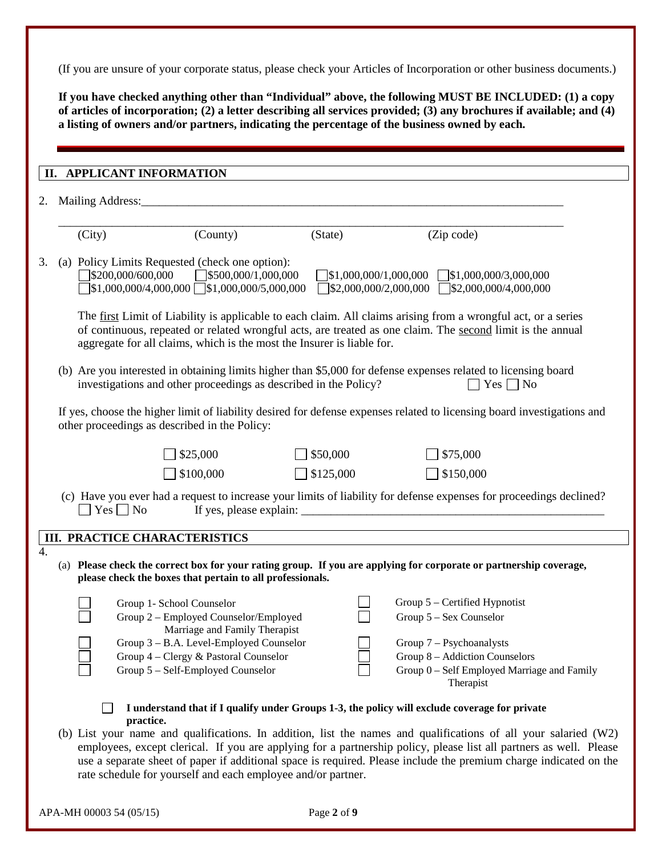(If you are unsure of your corporate status, please check your Articles of Incorporation or other business documents.)

**If you have checked anything other than "Individual" above, the following MUST BE INCLUDED: (1) a copy of articles of incorporation; (2) a letter describing all services provided; (3) any brochures if available; and (4) a listing of owners and/or partners, indicating the percentage of the business owned by each.**

|                                                                                                                                                                          | II. APPLICANT INFORMATION            |                                                                                                                                                                                                     |           |                                                                                                                                                                                                                             |  |  |  |  |
|--------------------------------------------------------------------------------------------------------------------------------------------------------------------------|--------------------------------------|-----------------------------------------------------------------------------------------------------------------------------------------------------------------------------------------------------|-----------|-----------------------------------------------------------------------------------------------------------------------------------------------------------------------------------------------------------------------------|--|--|--|--|
|                                                                                                                                                                          |                                      |                                                                                                                                                                                                     |           |                                                                                                                                                                                                                             |  |  |  |  |
|                                                                                                                                                                          |                                      |                                                                                                                                                                                                     |           |                                                                                                                                                                                                                             |  |  |  |  |
|                                                                                                                                                                          |                                      |                                                                                                                                                                                                     |           |                                                                                                                                                                                                                             |  |  |  |  |
|                                                                                                                                                                          | (City)                               | (County)                                                                                                                                                                                            | (State)   | (Zip code)                                                                                                                                                                                                                  |  |  |  |  |
|                                                                                                                                                                          |                                      | (a) Policy Limits Requested (check one option):<br>$\sqrt{$}200,000/600,000$ $\sqrt{$}500,000/1,000,000$<br>$\left[\frac{$1,000,000}{4,000,000}\right]$ $\left[\frac{$1,000,000}{5,000,000}\right]$ |           | $\sqrt{$1,000,000/1,000,000}$ $\sqrt{$1,000,000/3,000,000}$<br>$\Box$ \$2,000,000/2,000,000 $\Box$ \$2,000,000/4,000,000                                                                                                    |  |  |  |  |
|                                                                                                                                                                          |                                      | aggregate for all claims, which is the most the Insurer is liable for.                                                                                                                              |           | The first Limit of Liability is applicable to each claim. All claims arising from a wrongful act, or a series<br>of continuous, repeated or related wrongful acts, are treated as one claim. The second limit is the annual |  |  |  |  |
|                                                                                                                                                                          |                                      | investigations and other proceedings as described in the Policy?                                                                                                                                    |           | (b) Are you interested in obtaining limits higher than \$5,000 for defense expenses related to licensing board<br>$Yes \Box No$                                                                                             |  |  |  |  |
| If yes, choose the higher limit of liability desired for defense expenses related to licensing board investigations and<br>other proceedings as described in the Policy: |                                      |                                                                                                                                                                                                     |           |                                                                                                                                                                                                                             |  |  |  |  |
|                                                                                                                                                                          |                                      | \$25,000                                                                                                                                                                                            | \$50,000  | \$75,000                                                                                                                                                                                                                    |  |  |  |  |
|                                                                                                                                                                          |                                      | \$100,000                                                                                                                                                                                           | \$125,000 | \$150,000                                                                                                                                                                                                                   |  |  |  |  |
|                                                                                                                                                                          | $Yes \Box No$                        |                                                                                                                                                                                                     |           | (c) Have you ever had a request to increase your limits of liability for defense expenses for proceedings declined?                                                                                                         |  |  |  |  |
|                                                                                                                                                                          | <b>III. PRACTICE CHARACTERISTICS</b> |                                                                                                                                                                                                     |           |                                                                                                                                                                                                                             |  |  |  |  |
|                                                                                                                                                                          |                                      | please check the boxes that pertain to all professionals.                                                                                                                                           |           | (a) Please check the correct box for your rating group. If you are applying for corporate or partnership coverage,                                                                                                          |  |  |  |  |
|                                                                                                                                                                          |                                      | Group 1- School Counselor                                                                                                                                                                           |           | Group 5 - Certified Hypnotist                                                                                                                                                                                               |  |  |  |  |
|                                                                                                                                                                          |                                      | Group 2 - Employed Counselor/Employed                                                                                                                                                               |           | Group 5 - Sex Counselor                                                                                                                                                                                                     |  |  |  |  |
|                                                                                                                                                                          |                                      | Marriage and Family Therapist<br>Group 3 - B.A. Level-Employed Counselor                                                                                                                            |           | Group 7 - Psychoanalysts                                                                                                                                                                                                    |  |  |  |  |
|                                                                                                                                                                          |                                      | Group 4 - Clergy & Pastoral Counselor                                                                                                                                                               |           | Group 8 - Addiction Counselors                                                                                                                                                                                              |  |  |  |  |
|                                                                                                                                                                          |                                      | Group 5 - Self-Employed Counselor                                                                                                                                                                   |           | Group 0 - Self Employed Marriage and Family<br>Therapist                                                                                                                                                                    |  |  |  |  |
|                                                                                                                                                                          |                                      |                                                                                                                                                                                                     |           | I understand that if I qualify under Groups 1-3, the policy will exclude coverage for private                                                                                                                               |  |  |  |  |
|                                                                                                                                                                          | practice.                            |                                                                                                                                                                                                     |           | (b) List your name and qualifications. In addition, list the names and qualifications of all your salaried $(W2)$                                                                                                           |  |  |  |  |
|                                                                                                                                                                          |                                      |                                                                                                                                                                                                     |           | employees, except clerical. If you are applying for a partnership policy, please list all partners as well. Please                                                                                                          |  |  |  |  |
|                                                                                                                                                                          |                                      |                                                                                                                                                                                                     |           | use a separate sheet of paper if additional space is required. Please include the premium charge indicated on the                                                                                                           |  |  |  |  |
|                                                                                                                                                                          |                                      | rate schedule for yourself and each employee and/or partner.                                                                                                                                        |           |                                                                                                                                                                                                                             |  |  |  |  |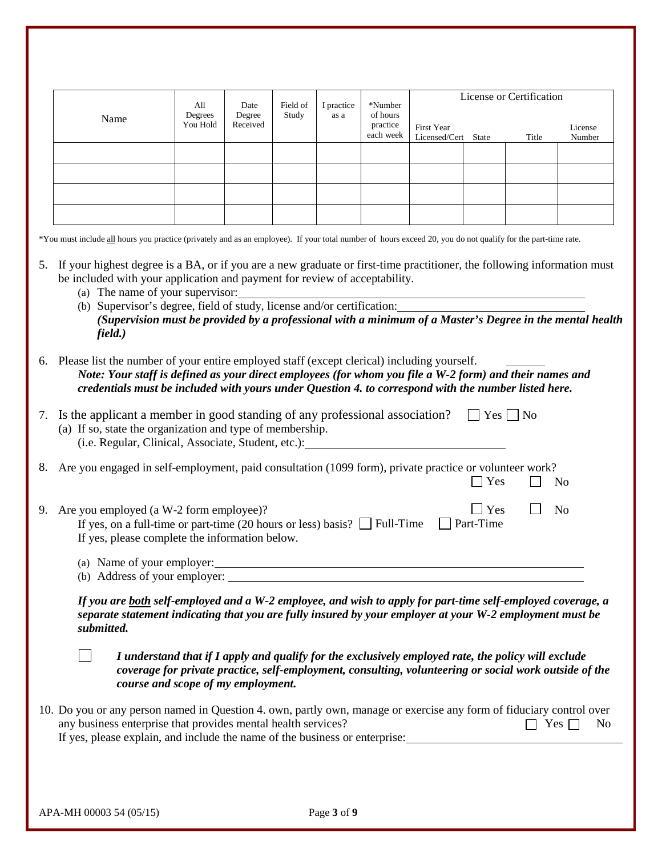|    |                                                                                                                                                                                                                                                                                                                                                                                                                                               | All                                                                                                                                                                                                                                                 | Date               | Field of | I practice | *Number                           |                                    |                  |                      | License or Certification |  |
|----|-----------------------------------------------------------------------------------------------------------------------------------------------------------------------------------------------------------------------------------------------------------------------------------------------------------------------------------------------------------------------------------------------------------------------------------------------|-----------------------------------------------------------------------------------------------------------------------------------------------------------------------------------------------------------------------------------------------------|--------------------|----------|------------|-----------------------------------|------------------------------------|------------------|----------------------|--------------------------|--|
|    | Name                                                                                                                                                                                                                                                                                                                                                                                                                                          | Degrees<br>You Hold                                                                                                                                                                                                                                 | Degree<br>Received | Study    | as a       | of hours<br>practice<br>each week | <b>First Year</b><br>Licensed/Cert | State            | Title                | License<br>Number        |  |
|    |                                                                                                                                                                                                                                                                                                                                                                                                                                               |                                                                                                                                                                                                                                                     |                    |          |            |                                   |                                    |                  |                      |                          |  |
|    |                                                                                                                                                                                                                                                                                                                                                                                                                                               |                                                                                                                                                                                                                                                     |                    |          |            |                                   |                                    |                  |                      |                          |  |
|    |                                                                                                                                                                                                                                                                                                                                                                                                                                               |                                                                                                                                                                                                                                                     |                    |          |            |                                   |                                    |                  |                      |                          |  |
|    |                                                                                                                                                                                                                                                                                                                                                                                                                                               |                                                                                                                                                                                                                                                     |                    |          |            |                                   |                                    |                  |                      |                          |  |
|    | *You must include all hours you practice (privately and as an employee). If your total number of hours exceed 20, you do not qualify for the part-time rate.                                                                                                                                                                                                                                                                                  |                                                                                                                                                                                                                                                     |                    |          |            |                                   |                                    |                  |                      |                          |  |
|    | 5. If your highest degree is a BA, or if you are a new graduate or first-time practitioner, the following information must<br>be included with your application and payment for review of acceptability.<br>(a) The name of your supervisor:<br>(b) Supervisor's degree, field of study, license and/or certification:<br>(Supervision must be provided by a professional with a minimum of a Master's Degree in the mental health<br>field.) |                                                                                                                                                                                                                                                     |                    |          |            |                                   |                                    |                  |                      |                          |  |
|    | 6. Please list the number of your entire employed staff (except clerical) including yourself.<br>Note: Your staff is defined as your direct employees (for whom you file a W-2 form) and their names and<br>credentials must be included with yours under Question 4, to correspond with the number listed here.                                                                                                                              |                                                                                                                                                                                                                                                     |                    |          |            |                                   |                                    |                  |                      |                          |  |
|    |                                                                                                                                                                                                                                                                                                                                                                                                                                               |                                                                                                                                                                                                                                                     |                    |          |            |                                   |                                    |                  |                      |                          |  |
|    | (a) If so, state the organization and type of membership.<br>(i.e. Regular, Clinical, Associate, Student, etc.):                                                                                                                                                                                                                                                                                                                              |                                                                                                                                                                                                                                                     |                    |          |            |                                   |                                    |                  | $Yes \mid \text{No}$ |                          |  |
|    | Are you engaged in self-employment, paid consultation (1099 form), private practice or volunteer work?                                                                                                                                                                                                                                                                                                                                        |                                                                                                                                                                                                                                                     |                    |          |            |                                   |                                    | Yes              |                      | N <sub>0</sub>           |  |
|    | If yes, on a full-time or part-time (20 hours or less) basis? $\Box$ Full-Time<br>If yes, please complete the information below.                                                                                                                                                                                                                                                                                                              |                                                                                                                                                                                                                                                     |                    |          |            |                                   |                                    | Yes<br>Part-Time |                      | N <sub>o</sub>           |  |
|    | Is the applicant a member in good standing of any professional association?<br>9. Are you employed (a W-2 form employee)?<br>(b) Address of your employer:                                                                                                                                                                                                                                                                                    |                                                                                                                                                                                                                                                     |                    |          |            |                                   |                                    |                  |                      |                          |  |
| 7. | If you are both self-employed and a W-2 employee, and wish to apply for part-time self-employed coverage, a<br>separate statement indicating that you are fully insured by your employer at your W-2 employment must be<br>submitted.                                                                                                                                                                                                         |                                                                                                                                                                                                                                                     |                    |          |            |                                   |                                    |                  |                      |                          |  |
|    |                                                                                                                                                                                                                                                                                                                                                                                                                                               | I understand that if I apply and qualify for the exclusively employed rate, the policy will exclude<br>coverage for private practice, self-employment, consulting, volunteering or social work outside of the<br>course and scope of my employment. |                    |          |            |                                   |                                    |                  |                      |                          |  |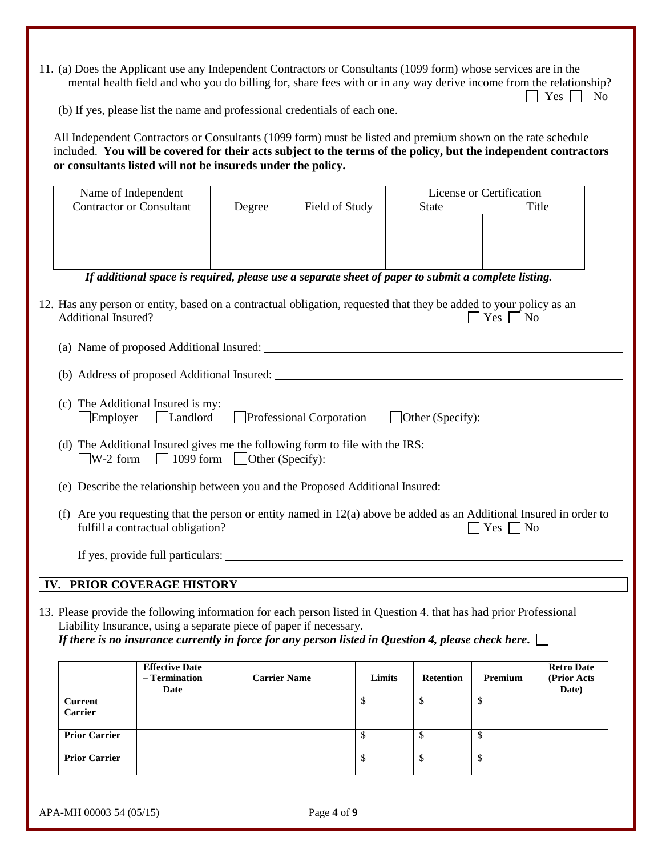11. (a) Does the Applicant use any Independent Contractors or Consultants (1099 form) whose services are in the mental health field and who you do billing for, share fees with or in any way derive income from the relationship?  $\Box$  Yes  $\Box$  No

(b) If yes, please list the name and professional credentials of each one.

All Independent Contractors or Consultants (1099 form) must be listed and premium shown on the rate schedule included. **You will be covered for their acts subject to the terms of the policy, but the independent contractors or consultants listed will not be insureds under the policy.**

| Name of Independent             |                                                                    |                     |                                                                                                                                                                                                                                  |                                | License or Certification   |                                           |
|---------------------------------|--------------------------------------------------------------------|---------------------|----------------------------------------------------------------------------------------------------------------------------------------------------------------------------------------------------------------------------------|--------------------------------|----------------------------|-------------------------------------------|
| <b>Contractor or Consultant</b> |                                                                    | Degree              | Field of Study                                                                                                                                                                                                                   | <b>State</b>                   |                            | Title                                     |
|                                 |                                                                    |                     |                                                                                                                                                                                                                                  |                                |                            |                                           |
|                                 |                                                                    |                     |                                                                                                                                                                                                                                  |                                |                            |                                           |
|                                 |                                                                    |                     |                                                                                                                                                                                                                                  |                                |                            |                                           |
|                                 |                                                                    |                     |                                                                                                                                                                                                                                  |                                |                            |                                           |
|                                 |                                                                    |                     |                                                                                                                                                                                                                                  |                                |                            |                                           |
|                                 |                                                                    |                     | If additional space is required, please use a separate sheet of paper to submit a complete listing.                                                                                                                              |                                |                            |                                           |
| <b>Additional Insured?</b>      |                                                                    |                     | 12. Has any person or entity, based on a contractual obligation, requested that they be added to your policy as an                                                                                                               |                                | $\exists$ Yes $\Box$ No    |                                           |
|                                 |                                                                    |                     |                                                                                                                                                                                                                                  |                                |                            |                                           |
|                                 |                                                                    |                     |                                                                                                                                                                                                                                  |                                |                            |                                           |
| $\Box$ Employer                 | (c) The Additional Insured is my:<br>Landlord                      |                     | Professional Corporation                                                                                                                                                                                                         | $\Box$ Other (Specify): $\Box$ |                            |                                           |
|                                 |                                                                    |                     | (d) The Additional Insured gives me the following form to file with the IRS:<br>$\Box$ W-2 form $\Box$ 1099 form $\Box$ Other (Specify): $\Box$                                                                                  |                                |                            |                                           |
|                                 |                                                                    |                     | (e) Describe the relationship between you and the Proposed Additional Insured:                                                                                                                                                   |                                |                            |                                           |
|                                 | fulfill a contractual obligation?                                  |                     | (f) Are you requesting that the person or entity named in $12(a)$ above be added as an Additional Insured in order to                                                                                                            |                                | $\bigcap$ Yes $\bigcap$ No |                                           |
|                                 |                                                                    |                     |                                                                                                                                                                                                                                  |                                |                            |                                           |
| IV. PRIOR COVERAGE HISTORY      |                                                                    |                     |                                                                                                                                                                                                                                  |                                |                            |                                           |
|                                 | Liability Insurance, using a separate piece of paper if necessary. |                     | 13. Please provide the following information for each person listed in Question 4. that has had prior Professional<br>If there is no insurance currently in force for any person listed in Question 4, please check here. $\Box$ |                                |                            |                                           |
|                                 | <b>Effective Date</b><br>- Termination<br>Date                     | <b>Carrier Name</b> | Limits                                                                                                                                                                                                                           | <b>Retention</b>               | Premium                    | <b>Retro Date</b><br>(Prior Acts<br>Date) |
| <b>Current</b><br>Carrier       |                                                                    |                     | \$                                                                                                                                                                                                                               | \$                             | \$                         |                                           |
|                                 |                                                                    |                     |                                                                                                                                                                                                                                  |                                |                            |                                           |
| <b>Prior Carrier</b>            |                                                                    |                     | \$                                                                                                                                                                                                                               | $\mathbb{S}$                   | \$                         |                                           |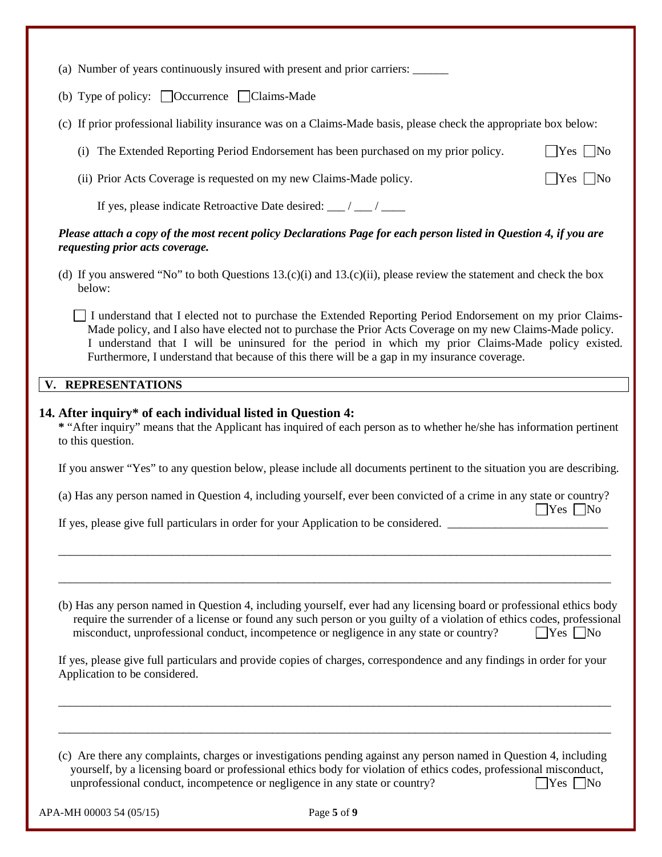| (a) Number of years continuously insured with present and prior carriers: ______                                                                                                                                                                                                                                                                                                                                              |                         |  |  |  |  |  |
|-------------------------------------------------------------------------------------------------------------------------------------------------------------------------------------------------------------------------------------------------------------------------------------------------------------------------------------------------------------------------------------------------------------------------------|-------------------------|--|--|--|--|--|
| (b) Type of policy: $\Box$ Occurrence $\Box$ Claims-Made                                                                                                                                                                                                                                                                                                                                                                      |                         |  |  |  |  |  |
| (c) If prior professional liability insurance was on a Claims-Made basis, please check the appropriate box below:                                                                                                                                                                                                                                                                                                             |                         |  |  |  |  |  |
| (i) The Extended Reporting Period Endorsement has been purchased on my prior policy.                                                                                                                                                                                                                                                                                                                                          | $\Box$ Yes $\Box$ No    |  |  |  |  |  |
| (ii) Prior Acts Coverage is requested on my new Claims-Made policy.                                                                                                                                                                                                                                                                                                                                                           | $\Box$ Yes $\Box$ No    |  |  |  |  |  |
| If yes, please indicate Retroactive Date desired: __/ __/ ___                                                                                                                                                                                                                                                                                                                                                                 |                         |  |  |  |  |  |
| Please attach a copy of the most recent policy Declarations Page for each person listed in Question 4, if you are<br>requesting prior acts coverage.                                                                                                                                                                                                                                                                          |                         |  |  |  |  |  |
| (d) If you answered "No" to both Questions $13.(c)(i)$ and $13.(c)(ii)$ , please review the statement and check the box<br>below:                                                                                                                                                                                                                                                                                             |                         |  |  |  |  |  |
| I understand that I elected not to purchase the Extended Reporting Period Endorsement on my prior Claims-<br>Made policy, and I also have elected not to purchase the Prior Acts Coverage on my new Claims-Made policy.<br>I understand that I will be uninsured for the period in which my prior Claims-Made policy existed.<br>Furthermore, I understand that because of this there will be a gap in my insurance coverage. |                         |  |  |  |  |  |
| V. REPRESENTATIONS                                                                                                                                                                                                                                                                                                                                                                                                            |                         |  |  |  |  |  |
| 14. After inquiry* of each individual listed in Question 4:<br>* "After inquiry" means that the Applicant has inquired of each person as to whether he/she has information pertinent<br>to this question.                                                                                                                                                                                                                     |                         |  |  |  |  |  |
| If you answer "Yes" to any question below, please include all documents pertinent to the situation you are describing.                                                                                                                                                                                                                                                                                                        |                         |  |  |  |  |  |
| (a) Has any person named in Question 4, including yourself, ever been convicted of a crime in any state or country?                                                                                                                                                                                                                                                                                                           | $\exists$ Yes $\Box$ No |  |  |  |  |  |
| If yes, please give full particulars in order for your Application to be considered.                                                                                                                                                                                                                                                                                                                                          |                         |  |  |  |  |  |

(b) Has any person named in Question 4, including yourself, ever had any licensing board or professional ethics body require the surrender of a license or found any such person or you guilty of a violation of ethics codes, professional misconduct, unprofessional conduct, incompetence or negligence in any state or country?  $\Box$  Yes  $\Box$  No

\_\_\_\_\_\_\_\_\_\_\_\_\_\_\_\_\_\_\_\_\_\_\_\_\_\_\_\_\_\_\_\_\_\_\_\_\_\_\_\_\_\_\_\_\_\_\_\_\_\_\_\_\_\_\_\_\_\_\_\_\_\_\_\_\_\_\_\_\_\_\_\_\_\_\_\_\_\_\_\_\_\_\_\_\_\_\_\_\_\_\_\_\_

\_\_\_\_\_\_\_\_\_\_\_\_\_\_\_\_\_\_\_\_\_\_\_\_\_\_\_\_\_\_\_\_\_\_\_\_\_\_\_\_\_\_\_\_\_\_\_\_\_\_\_\_\_\_\_\_\_\_\_\_\_\_\_\_\_\_\_\_\_\_\_\_\_\_\_\_\_\_\_\_\_\_\_\_\_\_\_\_\_\_\_\_\_

If yes, please give full particulars and provide copies of charges, correspondence and any findings in order for your Application to be considered.

\_\_\_\_\_\_\_\_\_\_\_\_\_\_\_\_\_\_\_\_\_\_\_\_\_\_\_\_\_\_\_\_\_\_\_\_\_\_\_\_\_\_\_\_\_\_\_\_\_\_\_\_\_\_\_\_\_\_\_\_\_\_\_\_\_\_\_\_\_\_\_\_\_\_\_\_\_\_\_\_\_\_\_\_\_\_\_\_\_\_\_\_\_

\_\_\_\_\_\_\_\_\_\_\_\_\_\_\_\_\_\_\_\_\_\_\_\_\_\_\_\_\_\_\_\_\_\_\_\_\_\_\_\_\_\_\_\_\_\_\_\_\_\_\_\_\_\_\_\_\_\_\_\_\_\_\_\_\_\_\_\_\_\_\_\_\_\_\_\_\_\_\_\_\_\_\_\_\_\_\_\_\_\_\_\_\_

(c) Are there any complaints, charges or investigations pending against any person named in Question 4, including yourself, by a licensing board or professional ethics body for violation of ethics codes, professional misconduct, unprofessional conduct, incompetence or negligence in any state or country?  $\Box$  Yes  $\Box$  No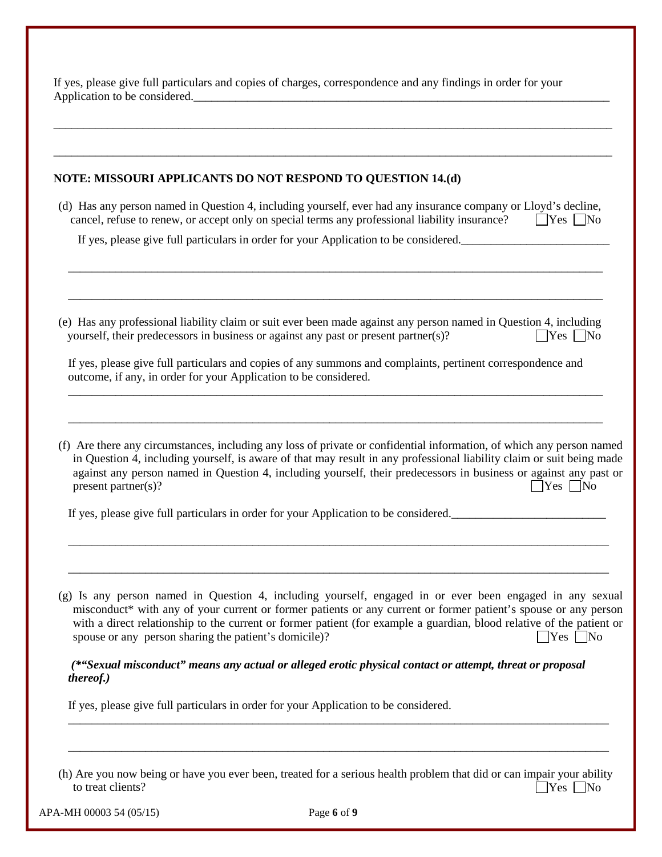If yes, please give full particulars and copies of charges, correspondence and any findings in order for your Application to be considered.

#### **NOTE: MISSOURI APPLICANTS DO NOT RESPOND TO QUESTION 14.(d)**

(d) Has any person named in Question 4, including yourself, ever had any insurance company or Lloyd's decline, cancel, refuse to renew, or accept only on special terms any professional liability insurance?  $\Box$  Yes  $\Box$  No

\_\_\_\_\_\_\_\_\_\_\_\_\_\_\_\_\_\_\_\_\_\_\_\_\_\_\_\_\_\_\_\_\_\_\_\_\_\_\_\_\_\_\_\_\_\_\_\_\_\_\_\_\_\_\_\_\_\_\_\_\_\_\_\_\_\_\_\_\_\_\_\_\_\_\_\_\_\_\_\_\_\_\_\_\_\_\_\_\_\_

\_\_\_\_\_\_\_\_\_\_\_\_\_\_\_\_\_\_\_\_\_\_\_\_\_\_\_\_\_\_\_\_\_\_\_\_\_\_\_\_\_\_\_\_\_\_\_\_\_\_\_\_\_\_\_\_\_\_\_\_\_\_\_\_\_\_\_\_\_\_\_\_\_\_\_\_\_\_\_\_\_\_\_\_\_\_\_\_\_\_

\_\_\_\_\_\_\_\_\_\_\_\_\_\_\_\_\_\_\_\_\_\_\_\_\_\_\_\_\_\_\_\_\_\_\_\_\_\_\_\_\_\_\_\_\_\_\_\_\_\_\_\_\_\_\_\_\_\_\_\_\_\_\_\_\_\_\_\_\_\_\_\_\_\_\_\_\_\_\_\_\_\_\_\_\_\_\_\_\_\_\_\_\_\_

\_\_\_\_\_\_\_\_\_\_\_\_\_\_\_\_\_\_\_\_\_\_\_\_\_\_\_\_\_\_\_\_\_\_\_\_\_\_\_\_\_\_\_\_\_\_\_\_\_\_\_\_\_\_\_\_\_\_\_\_\_\_\_\_\_\_\_\_\_\_\_\_\_\_\_\_\_\_\_\_\_\_\_\_\_\_\_\_\_\_\_\_\_\_

If yes, please give full particulars in order for your Application to be considered.

(e) Has any professional liability claim or suit ever been made against any person named in Question 4, including yourself, their predecessors in business or against any past or present partner(s)?  $\bigcap$  Yes  $\bigcap$  No

If yes, please give full particulars and copies of any summons and complaints, pertinent correspondence and outcome, if any, in order for your Application to be considered.

\_\_\_\_\_\_\_\_\_\_\_\_\_\_\_\_\_\_\_\_\_\_\_\_\_\_\_\_\_\_\_\_\_\_\_\_\_\_\_\_\_\_\_\_\_\_\_\_\_\_\_\_\_\_\_\_\_\_\_\_\_\_\_\_\_\_\_\_\_\_\_\_\_\_\_\_\_\_\_\_\_\_\_\_\_\_\_\_\_\_

\_\_\_\_\_\_\_\_\_\_\_\_\_\_\_\_\_\_\_\_\_\_\_\_\_\_\_\_\_\_\_\_\_\_\_\_\_\_\_\_\_\_\_\_\_\_\_\_\_\_\_\_\_\_\_\_\_\_\_\_\_\_\_\_\_\_\_\_\_\_\_\_\_\_\_\_\_\_\_\_\_\_\_\_\_\_\_\_\_\_

(f) Are there any circumstances, including any loss of private or confidential information, of which any person named in Question 4, including yourself, is aware of that may result in any professional liability claim or suit being made against any person named in Question 4, including yourself, their predecessors in business or against any past or present partner(s)?  $\Box$  Yes  $\Box$  No

If yes, please give full particulars in order for your Application to be considered.

(g) Is any person named in Question 4, including yourself, engaged in or ever been engaged in any sexual misconduct\* with any of your current or former patients or any current or former patient's spouse or any person with a direct relationship to the current or former patient (for example a guardian, blood relative of the patient or spouse or any person sharing the patient's domicile)?  $\Box$  Yes  $\Box$  Yes  $\Box$  No

\_\_\_\_\_\_\_\_\_\_\_\_\_\_\_\_\_\_\_\_\_\_\_\_\_\_\_\_\_\_\_\_\_\_\_\_\_\_\_\_\_\_\_\_\_\_\_\_\_\_\_\_\_\_\_\_\_\_\_\_\_\_\_\_\_\_\_\_\_\_\_\_\_\_\_\_\_\_\_\_\_\_\_\_\_\_\_\_\_\_\_

\_\_\_\_\_\_\_\_\_\_\_\_\_\_\_\_\_\_\_\_\_\_\_\_\_\_\_\_\_\_\_\_\_\_\_\_\_\_\_\_\_\_\_\_\_\_\_\_\_\_\_\_\_\_\_\_\_\_\_\_\_\_\_\_\_\_\_\_\_\_\_\_\_\_\_\_\_\_\_\_\_\_\_\_\_\_\_\_\_\_\_

*(\*"Sexual misconduct" means any actual or alleged erotic physical contact or attempt, threat or proposal thereof.)* 

If yes, please give full particulars in order for your Application to be considered.

(h) Are you now being or have you ever been, treated for a serious health problem that did or can impair your ability to treat clients?  $\Box$  Yes  $\Box$  No

\_\_\_\_\_\_\_\_\_\_\_\_\_\_\_\_\_\_\_\_\_\_\_\_\_\_\_\_\_\_\_\_\_\_\_\_\_\_\_\_\_\_\_\_\_\_\_\_\_\_\_\_\_\_\_\_\_\_\_\_\_\_\_\_\_\_\_\_\_\_\_\_\_\_\_\_\_\_\_\_\_\_\_\_\_\_\_\_\_\_\_

\_\_\_\_\_\_\_\_\_\_\_\_\_\_\_\_\_\_\_\_\_\_\_\_\_\_\_\_\_\_\_\_\_\_\_\_\_\_\_\_\_\_\_\_\_\_\_\_\_\_\_\_\_\_\_\_\_\_\_\_\_\_\_\_\_\_\_\_\_\_\_\_\_\_\_\_\_\_\_\_\_\_\_\_\_\_\_\_\_\_\_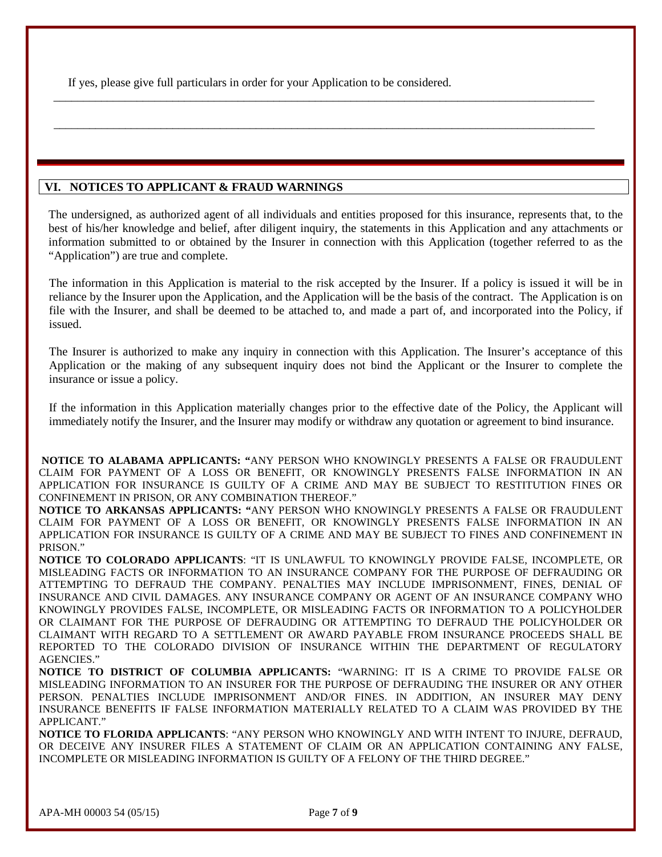If yes, please give full particulars in order for your Application to be considered.

## **VI. NOTICES TO APPLICANT & FRAUD WARNINGS**

The undersigned, as authorized agent of all individuals and entities proposed for this insurance, represents that, to the best of his/her knowledge and belief, after diligent inquiry, the statements in this Application and any attachments or information submitted to or obtained by the Insurer in connection with this Application (together referred to as the "Application") are true and complete.

\_\_\_\_\_\_\_\_\_\_\_\_\_\_\_\_\_\_\_\_\_\_\_\_\_\_\_\_\_\_\_\_\_\_\_\_\_\_\_\_\_\_\_\_\_\_\_\_\_\_\_\_\_\_\_\_\_\_\_\_\_\_\_\_\_\_\_\_\_\_\_\_\_\_\_\_\_\_\_\_\_\_\_\_\_\_\_\_\_\_\_

\_\_\_\_\_\_\_\_\_\_\_\_\_\_\_\_\_\_\_\_\_\_\_\_\_\_\_\_\_\_\_\_\_\_\_\_\_\_\_\_\_\_\_\_\_\_\_\_\_\_\_\_\_\_\_\_\_\_\_\_\_\_\_\_\_\_\_\_\_\_\_\_\_\_\_\_\_\_\_\_\_\_\_\_\_\_\_\_\_\_\_

The information in this Application is material to the risk accepted by the Insurer. If a policy is issued it will be in reliance by the Insurer upon the Application, and the Application will be the basis of the contract. The Application is on file with the Insurer, and shall be deemed to be attached to, and made a part of, and incorporated into the Policy, if issued.

The Insurer is authorized to make any inquiry in connection with this Application. The Insurer's acceptance of this Application or the making of any subsequent inquiry does not bind the Applicant or the Insurer to complete the insurance or issue a policy.

If the information in this Application materially changes prior to the effective date of the Policy, the Applicant will immediately notify the Insurer, and the Insurer may modify or withdraw any quotation or agreement to bind insurance.

**NOTICE TO ALABAMA APPLICANTS: "**ANY PERSON WHO KNOWINGLY PRESENTS A FALSE OR FRAUDULENT CLAIM FOR PAYMENT OF A LOSS OR BENEFIT, OR KNOWINGLY PRESENTS FALSE INFORMATION IN AN APPLICATION FOR INSURANCE IS GUILTY OF A CRIME AND MAY BE SUBJECT TO RESTITUTION FINES OR CONFINEMENT IN PRISON, OR ANY COMBINATION THEREOF."

**NOTICE TO ARKANSAS APPLICANTS: "**ANY PERSON WHO KNOWINGLY PRESENTS A FALSE OR FRAUDULENT CLAIM FOR PAYMENT OF A LOSS OR BENEFIT, OR KNOWINGLY PRESENTS FALSE INFORMATION IN AN APPLICATION FOR INSURANCE IS GUILTY OF A CRIME AND MAY BE SUBJECT TO FINES AND CONFINEMENT IN PRISON."

**NOTICE TO COLORADO APPLICANTS**: "IT IS UNLAWFUL TO KNOWINGLY PROVIDE FALSE, INCOMPLETE, OR MISLEADING FACTS OR INFORMATION TO AN INSURANCE COMPANY FOR THE PURPOSE OF DEFRAUDING OR ATTEMPTING TO DEFRAUD THE COMPANY. PENALTIES MAY INCLUDE IMPRISONMENT, FINES, DENIAL OF INSURANCE AND CIVIL DAMAGES. ANY INSURANCE COMPANY OR AGENT OF AN INSURANCE COMPANY WHO KNOWINGLY PROVIDES FALSE, INCOMPLETE, OR MISLEADING FACTS OR INFORMATION TO A POLICYHOLDER OR CLAIMANT FOR THE PURPOSE OF DEFRAUDING OR ATTEMPTING TO DEFRAUD THE POLICYHOLDER OR CLAIMANT WITH REGARD TO A SETTLEMENT OR AWARD PAYABLE FROM INSURANCE PROCEEDS SHALL BE REPORTED TO THE COLORADO DIVISION OF INSURANCE WITHIN THE DEPARTMENT OF REGULATORY AGENCIES."

**NOTICE TO DISTRICT OF COLUMBIA APPLICANTS:** "WARNING: IT IS A CRIME TO PROVIDE FALSE OR MISLEADING INFORMATION TO AN INSURER FOR THE PURPOSE OF DEFRAUDING THE INSURER OR ANY OTHER PERSON. PENALTIES INCLUDE IMPRISONMENT AND/OR FINES. IN ADDITION, AN INSURER MAY DENY INSURANCE BENEFITS IF FALSE INFORMATION MATERIALLY RELATED TO A CLAIM WAS PROVIDED BY THE APPLICANT."

**NOTICE TO FLORIDA APPLICANTS**: "ANY PERSON WHO KNOWINGLY AND WITH INTENT TO INJURE, DEFRAUD, OR DECEIVE ANY INSURER FILES A STATEMENT OF CLAIM OR AN APPLICATION CONTAINING ANY FALSE, INCOMPLETE OR MISLEADING INFORMATION IS GUILTY OF A FELONY OF THE THIRD DEGREE."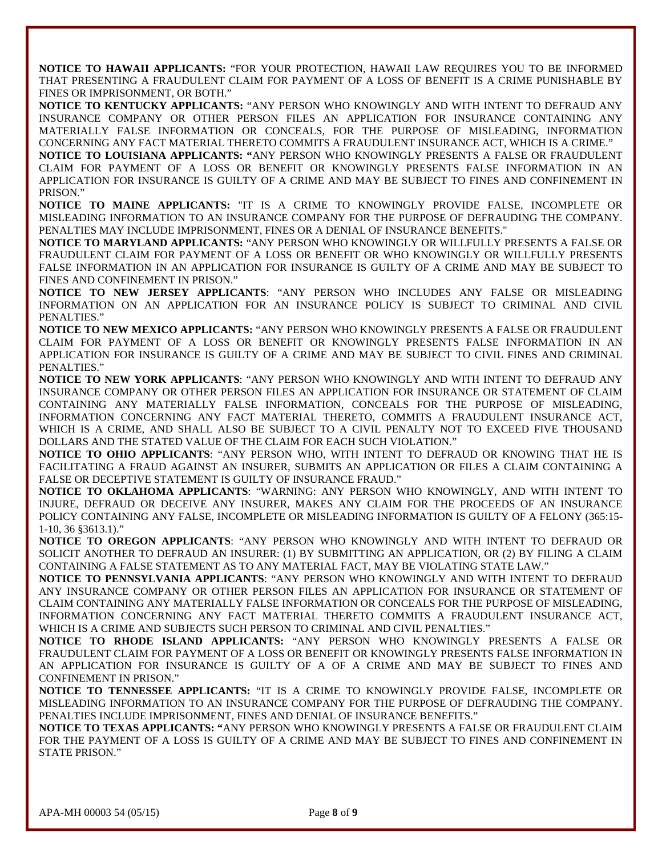**NOTICE TO HAWAII APPLICANTS:** "FOR YOUR PROTECTION, HAWAII LAW REQUIRES YOU TO BE INFORMED THAT PRESENTING A FRAUDULENT CLAIM FOR PAYMENT OF A LOSS OF BENEFIT IS A CRIME PUNISHABLE BY FINES OR IMPRISONMENT, OR BOTH."

**NOTICE TO KENTUCKY APPLICANTS:** "ANY PERSON WHO KNOWINGLY AND WITH INTENT TO DEFRAUD ANY INSURANCE COMPANY OR OTHER PERSON FILES AN APPLICATION FOR INSURANCE CONTAINING ANY MATERIALLY FALSE INFORMATION OR CONCEALS, FOR THE PURPOSE OF MISLEADING, INFORMATION CONCERNING ANY FACT MATERIAL THERETO COMMITS A FRAUDULENT INSURANCE ACT, WHICH IS A CRIME."

**NOTICE TO LOUISIANA APPLICANTS: "**ANY PERSON WHO KNOWINGLY PRESENTS A FALSE OR FRAUDULENT CLAIM FOR PAYMENT OF A LOSS OR BENEFIT OR KNOWINGLY PRESENTS FALSE INFORMATION IN AN APPLICATION FOR INSURANCE IS GUILTY OF A CRIME AND MAY BE SUBJECT TO FINES AND CONFINEMENT IN PRISON."

**NOTICE TO MAINE APPLICANTS:** "IT IS A CRIME TO KNOWINGLY PROVIDE FALSE, INCOMPLETE OR MISLEADING INFORMATION TO AN INSURANCE COMPANY FOR THE PURPOSE OF DEFRAUDING THE COMPANY. PENALTIES MAY INCLUDE IMPRISONMENT, FINES OR A DENIAL OF INSURANCE BENEFITS."

**NOTICE TO MARYLAND APPLICANTS:** "ANY PERSON WHO KNOWINGLY OR WILLFULLY PRESENTS A FALSE OR FRAUDULENT CLAIM FOR PAYMENT OF A LOSS OR BENEFIT OR WHO KNOWINGLY OR WILLFULLY PRESENTS FALSE INFORMATION IN AN APPLICATION FOR INSURANCE IS GUILTY OF A CRIME AND MAY BE SUBJECT TO FINES AND CONFINEMENT IN PRISON."

**NOTICE TO NEW JERSEY APPLICANTS**: "ANY PERSON WHO INCLUDES ANY FALSE OR MISLEADING INFORMATION ON AN APPLICATION FOR AN INSURANCE POLICY IS SUBJECT TO CRIMINAL AND CIVIL PENALTIES."

**NOTICE TO NEW MEXICO APPLICANTS:** "ANY PERSON WHO KNOWINGLY PRESENTS A FALSE OR FRAUDULENT CLAIM FOR PAYMENT OF A LOSS OR BENEFIT OR KNOWINGLY PRESENTS FALSE INFORMATION IN AN APPLICATION FOR INSURANCE IS GUILTY OF A CRIME AND MAY BE SUBJECT TO CIVIL FINES AND CRIMINAL PENALTIES."

**NOTICE TO NEW YORK APPLICANTS**: "ANY PERSON WHO KNOWINGLY AND WITH INTENT TO DEFRAUD ANY INSURANCE COMPANY OR OTHER PERSON FILES AN APPLICATION FOR INSURANCE OR STATEMENT OF CLAIM CONTAINING ANY MATERIALLY FALSE INFORMATION, CONCEALS FOR THE PURPOSE OF MISLEADING, INFORMATION CONCERNING ANY FACT MATERIAL THERETO, COMMITS A FRAUDULENT INSURANCE ACT, WHICH IS A CRIME, AND SHALL ALSO BE SUBJECT TO A CIVIL PENALTY NOT TO EXCEED FIVE THOUSAND DOLLARS AND THE STATED VALUE OF THE CLAIM FOR EACH SUCH VIOLATION."

**NOTICE TO OHIO APPLICANTS**: "ANY PERSON WHO, WITH INTENT TO DEFRAUD OR KNOWING THAT HE IS FACILITATING A FRAUD AGAINST AN INSURER, SUBMITS AN APPLICATION OR FILES A CLAIM CONTAINING A FALSE OR DECEPTIVE STATEMENT IS GUILTY OF INSURANCE FRAUD."

**NOTICE TO OKLAHOMA APPLICANTS**: "WARNING: ANY PERSON WHO KNOWINGLY, AND WITH INTENT TO INJURE, DEFRAUD OR DECEIVE ANY INSURER, MAKES ANY CLAIM FOR THE PROCEEDS OF AN INSURANCE POLICY CONTAINING ANY FALSE, INCOMPLETE OR MISLEADING INFORMATION IS GUILTY OF A FELONY (365:15- 1-10, 36 §3613.1)."

**NOTICE TO OREGON APPLICANTS**: "ANY PERSON WHO KNOWINGLY AND WITH INTENT TO DEFRAUD OR SOLICIT ANOTHER TO DEFRAUD AN INSURER: (1) BY SUBMITTING AN APPLICATION, OR (2) BY FILING A CLAIM CONTAINING A FALSE STATEMENT AS TO ANY MATERIAL FACT, MAY BE VIOLATING STATE LAW."

**NOTICE TO PENNSYLVANIA APPLICANTS**: "ANY PERSON WHO KNOWINGLY AND WITH INTENT TO DEFRAUD ANY INSURANCE COMPANY OR OTHER PERSON FILES AN APPLICATION FOR INSURANCE OR STATEMENT OF CLAIM CONTAINING ANY MATERIALLY FALSE INFORMATION OR CONCEALS FOR THE PURPOSE OF MISLEADING, INFORMATION CONCERNING ANY FACT MATERIAL THERETO COMMITS A FRAUDULENT INSURANCE ACT, WHICH IS A CRIME AND SUBJECTS SUCH PERSON TO CRIMINAL AND CIVIL PENALTIES."

**NOTICE TO RHODE ISLAND APPLICANTS:** "ANY PERSON WHO KNOWINGLY PRESENTS A FALSE OR FRAUDULENT CLAIM FOR PAYMENT OF A LOSS OR BENEFIT OR KNOWINGLY PRESENTS FALSE INFORMATION IN AN APPLICATION FOR INSURANCE IS GUILTY OF A OF A CRIME AND MAY BE SUBJECT TO FINES AND CONFINEMENT IN PRISON."

**NOTICE TO TENNESSEE APPLICANTS:** "IT IS A CRIME TO KNOWINGLY PROVIDE FALSE, INCOMPLETE OR MISLEADING INFORMATION TO AN INSURANCE COMPANY FOR THE PURPOSE OF DEFRAUDING THE COMPANY. PENALTIES INCLUDE IMPRISONMENT, FINES AND DENIAL OF INSURANCE BENEFITS."

**NOTICE TO TEXAS APPLICANTS: "**ANY PERSON WHO KNOWINGLY PRESENTS A FALSE OR FRAUDULENT CLAIM FOR THE PAYMENT OF A LOSS IS GUILTY OF A CRIME AND MAY BE SUBJECT TO FINES AND CONFINEMENT IN STATE PRISON."